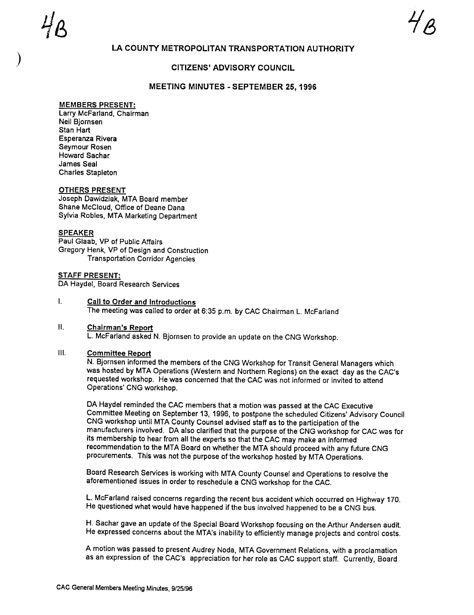# LA COUNTY METROPOLITAN TRANSPORTATION AUTHORITY

## CITIZENS' ADVISORY COUNCIL

### MEETING MINUTES - SEPTEMBER 25, 1996

### MEMBERS PRESENT:

Larry McFarland, Chairman Neil Bjornsen Stan Hart Esperanza Rivera Seymour Rosen Howard Sachar James Seal Charles Stapleton

#### OTHERS PRESENT

Joseph Dawidziak, MTA Board member Shane McCloud, Office of Deane Dana Sylvia Robles, MTA Marketing Department

#### **SPEAKER**

Paul Glaab, VP of Public Affairs Gregory Henk, VP of Design and Construction Transportation Corridor Agencies

STAFF PRESENT: DA Haydel, Board Research Services

#### $\mathbf{L}$ Call to Order and Introductions The meeting was called to order at 6:35 p. m. by CAC Chairman L. McFarland

### II. Chairman's Report L. McFarland asked N. Bjornsen to provide an update on the CNG Workshop.

### III. Committee Report

N. Bjornsen informed the members of the CNG Workshop for Transit General Managers which was hosted by MTA Operations (Western and Northern Regions) on the exact day as the CAC' requested workshop. He was concerned that the CAC was not informed or invited to attend Operations' CNG workshop.

DA Haydel reminded the CAC members that a motion was passed at the CAC Executive Committee Meeting on September 13, 1996, to postpone the scheduled Citizens' Advisory Council CNG workshop until MTA County Counsel advised staff as to the participation of the manufacturers involved. DA also clarified that the purpose of the CNG workshop for CAC was for its membership to hear from all the experts so that the CAC may make an informed recommendation to the MTA Board on whether the MTA should proceed with any future CNG procurements. This was not the purpose of the workshop hosted by MTA Operations.

Board Research Services is working with MTA County Counsel and Operations to resolve the aforementioned issues in order to reschedule a CNG workshop for the CAC.

L. McFarland raised concerns regarding the recent bus accident which occurred on Highway 170. He questioned what would have happened if the bus involved happened to be a CNG bus.

H. Sachar gave an update of the Special Board Workshop focusing on the Arthur Andersen audit. He expressed concerns about the MTA's inability to efficiently manage projects and control costs.

A motion was passed to present Audrey Noda, MTA Government Relations, with a proclamation as an expression of the CAC's appreciation for her role as CAC support staff. Currently, Board